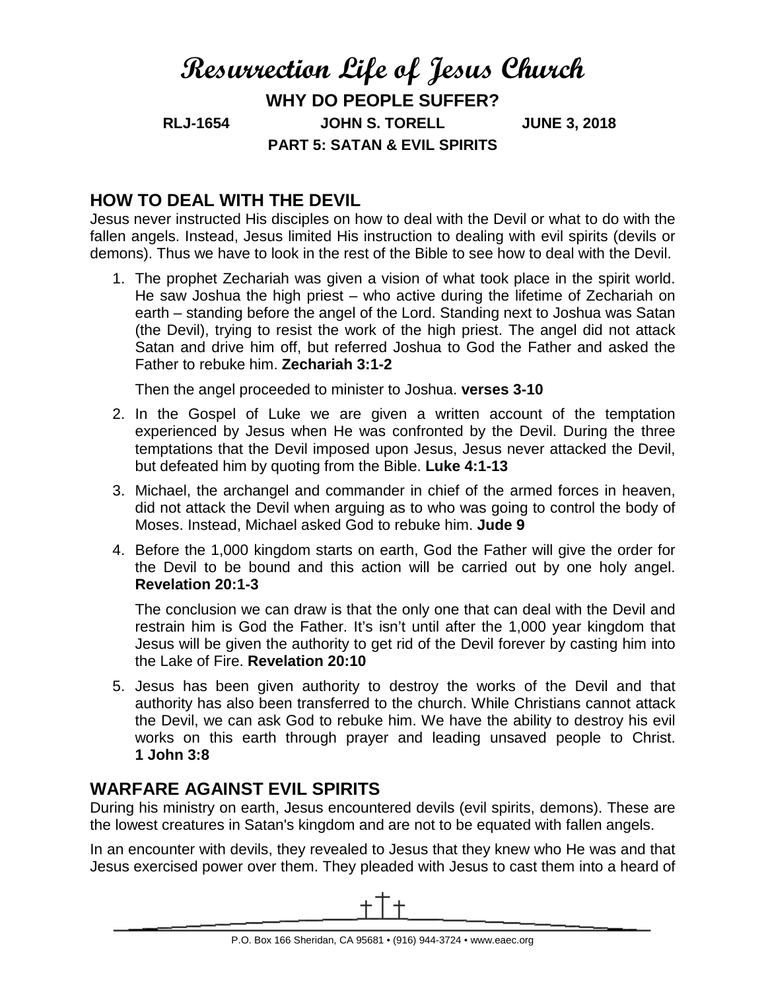# **Resurrection Life of Jesus Church WHY DO PEOPLE SUFFER? RLJ-1654 JOHN S. TORELL JUNE 3, 2018 PART 5: SATAN & EVIL SPIRITS**

## **HOW TO DEAL WITH THE DEVIL**

Jesus never instructed His disciples on how to deal with the Devil or what to do with the fallen angels. Instead, Jesus limited His instruction to dealing with evil spirits (devils or demons). Thus we have to look in the rest of the Bible to see how to deal with the Devil.

1. The prophet Zechariah was given a vision of what took place in the spirit world. He saw Joshua the high priest – who active during the lifetime of Zechariah on earth – standing before the angel of the Lord. Standing next to Joshua was Satan (the Devil), trying to resist the work of the high priest. The angel did not attack Satan and drive him off, but referred Joshua to God the Father and asked the Father to rebuke him. **Zechariah 3:1-2**

Then the angel proceeded to minister to Joshua. **verses 3-10**

- 2. In the Gospel of Luke we are given a written account of the temptation experienced by Jesus when He was confronted by the Devil. During the three temptations that the Devil imposed upon Jesus, Jesus never attacked the Devil, but defeated him by quoting from the Bible. **Luke 4:1-13**
- 3. Michael, the archangel and commander in chief of the armed forces in heaven, did not attack the Devil when arguing as to who was going to control the body of Moses. Instead, Michael asked God to rebuke him. **Jude 9**
- 4. Before the 1,000 kingdom starts on earth, God the Father will give the order for the Devil to be bound and this action will be carried out by one holy angel. **Revelation 20:1-3**

The conclusion we can draw is that the only one that can deal with the Devil and restrain him is God the Father. It's isn't until after the 1,000 year kingdom that Jesus will be given the authority to get rid of the Devil forever by casting him into the Lake of Fire. **Revelation 20:10**

5. Jesus has been given authority to destroy the works of the Devil and that authority has also been transferred to the church. While Christians cannot attack the Devil, we can ask God to rebuke him. We have the ability to destroy his evil works on this earth through prayer and leading unsaved people to Christ. **1 John 3:8**

## **WARFARE AGAINST EVIL SPIRITS**

During his ministry on earth, Jesus encountered devils (evil spirits, demons). These are the lowest creatures in Satan's kingdom and are not to be equated with fallen angels.

In an encounter with devils, they revealed to Jesus that they knew who He was and that Jesus exercised power over them. They pleaded with Jesus to cast them into a heard of